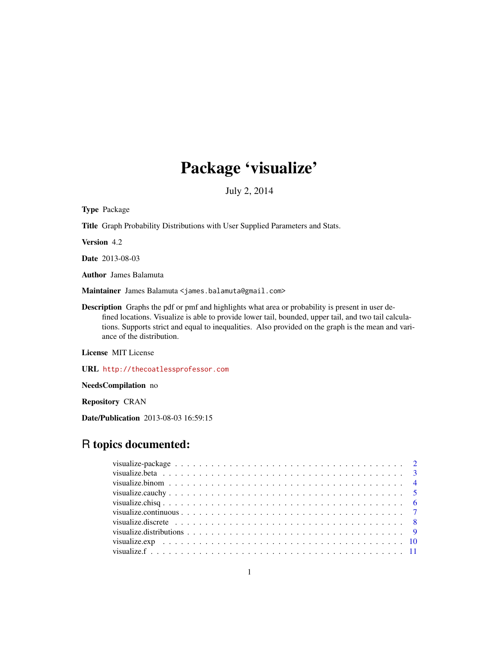# Package 'visualize'

July 2, 2014

<span id="page-0-0"></span>Type Package Title Graph Probability Distributions with User Supplied Parameters and Stats. Version 4.2 Date 2013-08-03 Author James Balamuta Maintainer James Balamuta <james.balamuta@gmail.com> Description Graphs the pdf or pmf and highlights what area or probability is present in user defined locations. Visualize is able to provide lower tail, bounded, upper tail, and two tail calculations. Supports strict and equal to inequalities. Also provided on the graph is the mean and variance of the distribution.

License MIT License

URL <http://thecoatlessprofessor.com>

NeedsCompilation no

Repository CRAN

Date/Publication 2013-08-03 16:59:15

# R topics documented: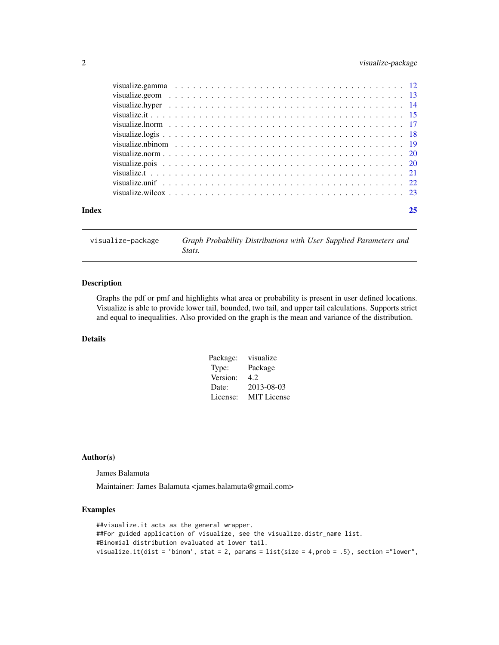# <span id="page-1-0"></span>2 visualize-package

| Index | 25 |
|-------|----|
|       |    |
|       |    |
|       |    |
|       |    |
|       |    |
|       |    |
|       |    |
|       |    |
|       |    |
|       |    |
|       |    |
|       |    |

visualize-package *Graph Probability Distributions with User Supplied Parameters and Stats.*

# Description

Graphs the pdf or pmf and highlights what area or probability is present in user defined locations. Visualize is able to provide lower tail, bounded, two tail, and upper tail calculations. Supports strict and equal to inequalities. Also provided on the graph is the mean and variance of the distribution.

#### Details

| Package: | visualize          |
|----------|--------------------|
| Type:    | Package            |
| Version: | 4.2                |
| Date:    | 2013-08-03         |
| License: | <b>MIT</b> License |

#### Author(s)

James Balamuta

Maintainer: James Balamuta <james.balamuta@gmail.com>

# Examples

##visualize.it acts as the general wrapper. ##For guided application of visualize, see the visualize.distr\_name list. #Binomial distribution evaluated at lower tail. visualize.it(dist = 'binom', stat = 2, params = list(size = 4,prob = .5), section ="lower",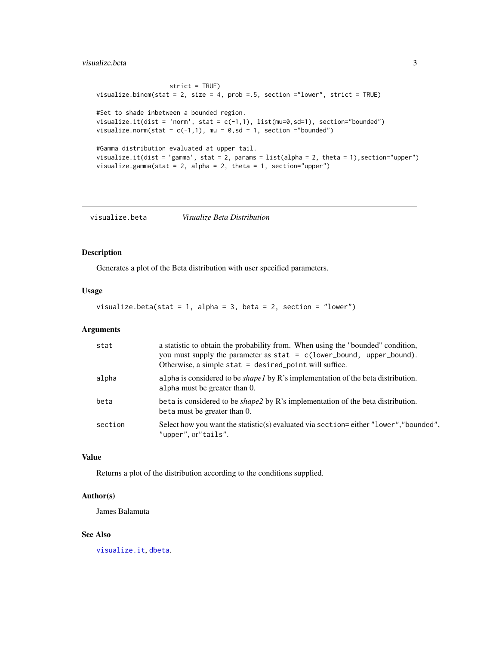# <span id="page-2-0"></span>visualize.beta 3

strict = TRUE) visualize.binom(stat = 2, size = 4, prob =.5, section ="lower", strict = TRUE) #Set to shade inbetween a bounded region. visualize.it(dist = 'norm', stat =  $c(-1,1)$ , list(mu=0,sd=1), section="bounded") visualize.norm(stat =  $c(-1,1)$ , mu =  $0$ , sd = 1, section ="bounded") #Gamma distribution evaluated at upper tail. visualize.it(dist = 'gamma', stat = 2, params = list(alpha = 2, theta = 1),section="upper") visualize.gamma(stat = 2, alpha = 2, theta = 1, section="upper")

<span id="page-2-1"></span>visualize.beta *Visualize Beta Distribution*

#### Description

Generates a plot of the Beta distribution with user specified parameters.

# Usage

visualize.beta(stat = 1, alpha = 3, beta = 2, section = "lower")

#### Arguments

| stat    | a statistic to obtain the probability from. When using the "bounded" condition,<br>you must supply the parameter as $stat = c(lower_bound, upper_bound).$<br>Otherwise, a simple stat = desired_point will suffice. |
|---------|---------------------------------------------------------------------------------------------------------------------------------------------------------------------------------------------------------------------|
| alpha   | alpha is considered to be <i>shapel</i> by $R$ 's implementation of the beta distribution.<br>alpha must be greater than 0.                                                                                         |
| beta    | beta is considered to be <i>shape2</i> by R's implementation of the beta distribution.<br>beta must be greater than 0.                                                                                              |
| section | Select how you want the statistic(s) evaluated via section=either "lower", "bounded",<br>"upper", or"tails".                                                                                                        |

# Value

Returns a plot of the distribution according to the conditions supplied.

### Author(s)

James Balamuta

#### See Also

[visualize.it](#page-14-1), [dbeta](#page-0-0).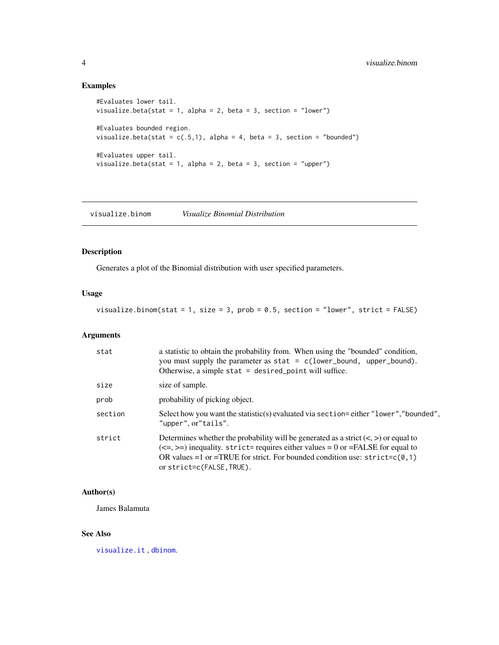# Examples

```
#Evaluates lower tail.
visualize.beta(stat = 1, alpha = 2, beta = 3, section = "lower")
#Evaluates bounded region.
visualize.beta(stat = c(.5,1), alpha = 4, beta = 3, section = "bounded")
#Evaluates upper tail.
visualize.beta(stat = 1, alpha = 2, beta = 3, section = "upper")
```
<span id="page-3-1"></span>visualize.binom *Visualize Binomial Distribution*

# Description

Generates a plot of the Binomial distribution with user specified parameters.

# Usage

visualize.binom(stat = 1, size = 3, prob =  $0.5$ , section = "lower", strict = FALSE)

### Arguments

| stat    | a statistic to obtain the probability from. When using the "bounded" condition,<br>you must supply the parameter as $stat = c(lower_bound, upper_bound).$<br>Otherwise, a simple stat $=$ desired_point will suffice.                                                                   |
|---------|-----------------------------------------------------------------------------------------------------------------------------------------------------------------------------------------------------------------------------------------------------------------------------------------|
| size    | size of sample.                                                                                                                                                                                                                                                                         |
| prob    | probability of picking object.                                                                                                                                                                                                                                                          |
| section | Select how you want the statistic(s) evaluated via section=either "lower", "bounded",<br>"upper", or"tails".                                                                                                                                                                            |
| strict  | Determines whether the probability will be generated as a strict $(<,>)$ or equal to<br>$(\leq=,)=$ inequality. strict= requires either values = 0 or = FALSE for equal to<br>OR values =1 or =TRUE for strict. For bounded condition use: $strict=c(0,1)$<br>or strict=c(FALSE, TRUE). |

#### Author(s)

James Balamuta

# See Also

[visualize.it](#page-14-1) , [dbinom](#page-0-0).

<span id="page-3-0"></span>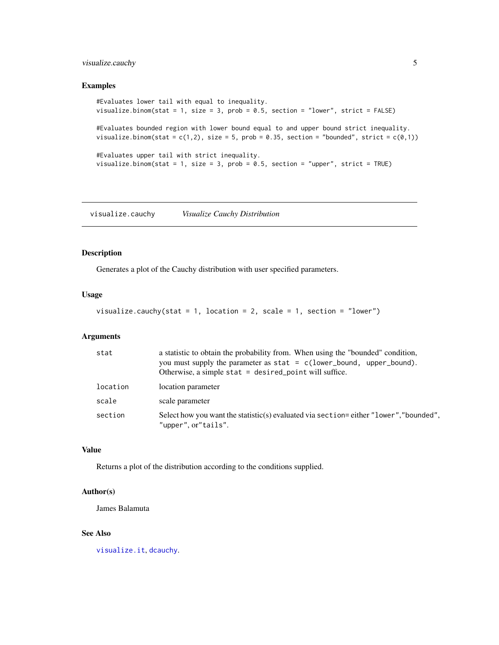# <span id="page-4-0"></span>visualize.cauchy 5

#### Examples

```
#Evaluates lower tail with equal to inequality.
visualize.binom(stat = 1, size = 3, prob = 0.5, section = "lower", strict = FALSE)
#Evaluates bounded region with lower bound equal to and upper bound strict inequality.
visualize.binom(stat = c(1,2), size = 5, prob = 0.35, section = "bounded", strict = c(0,1))
#Evaluates upper tail with strict inequality.
visualize.binom(stat = 1, size = 3, prob = 0.5, section = "upper", strict = TRUE)
```
<span id="page-4-1"></span>visualize.cauchy *Visualize Cauchy Distribution*

# Description

Generates a plot of the Cauchy distribution with user specified parameters.

# Usage

visualize.cauchy(stat = 1, location = 2, scale = 1, section = "lower")

# Arguments

| stat     | a statistic to obtain the probability from. When using the "bounded" condition,<br>you must supply the parameter as $stat = c(lower_bound, upper_bound)$ .<br>Otherwise, a simple stat $=$ desired_point will suffice. |
|----------|------------------------------------------------------------------------------------------------------------------------------------------------------------------------------------------------------------------------|
| location | location parameter                                                                                                                                                                                                     |
| scale    | scale parameter                                                                                                                                                                                                        |
| section  | Select how you want the statistic(s) evaluated via section=either "lower", "bounded",<br>"upper", or"tails".                                                                                                           |

# Value

Returns a plot of the distribution according to the conditions supplied.

#### Author(s)

James Balamuta

#### See Also

[visualize.it](#page-14-1), [dcauchy](#page-0-0).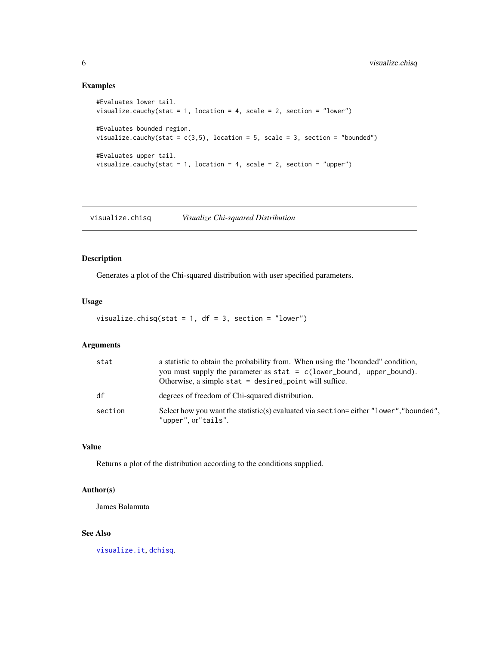# Examples

```
#Evaluates lower tail.
visualize.cauchy(stat = 1, location = 4, scale = 2, section = "lower")
#Evaluates bounded region.
visualize.cauchy(stat = c(3,5), location = 5, scale = 3, section = "bounded")
#Evaluates upper tail.
visualize.cauchy(stat = 1, location = 4, scale = 2, section = "upper")
```
<span id="page-5-1"></span>visualize.chisq *Visualize Chi-squared Distribution*

# Description

Generates a plot of the Chi-squared distribution with user specified parameters.

# Usage

```
visualize.chisq(stat = 1, df = 3, section = "lower")
```
# Arguments

| stat    | a statistic to obtain the probability from. When using the "bounded" condition,<br>you must supply the parameter as $stat = c(lower_bound, upper_bound).$<br>Otherwise, a simple stat $=$ desired point will suffice. |
|---------|-----------------------------------------------------------------------------------------------------------------------------------------------------------------------------------------------------------------------|
| df      | degrees of freedom of Chi-squared distribution.                                                                                                                                                                       |
| section | Select how you want the statistic(s) evaluated via section=either "lower", "bounded",<br>"upper", or"tails".                                                                                                          |

#### Value

Returns a plot of the distribution according to the conditions supplied.

#### Author(s)

James Balamuta

# See Also

[visualize.it](#page-14-1), [dchisq](#page-0-0).

<span id="page-5-0"></span>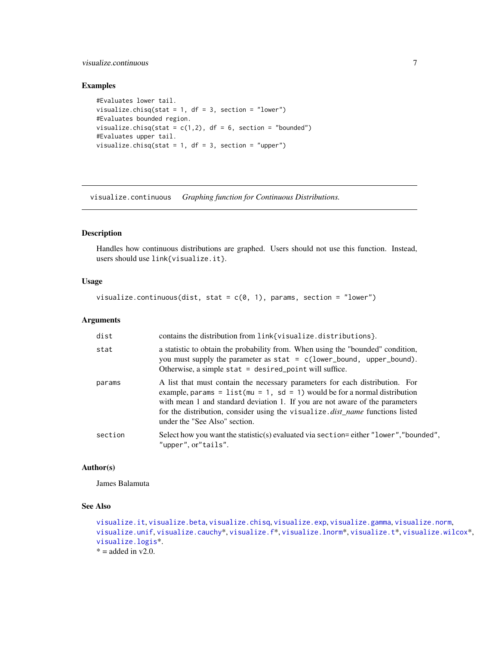# <span id="page-6-0"></span>visualize.continuous 7

# Examples

```
#Evaluates lower tail.
visualize.chisq(stat = 1, df = 3, section = "lower")
#Evaluates bounded region.
visualize.chisq(stat = c(1,2), df = 6, section = "bounded")
#Evaluates upper tail.
visualize.chisq(stat = 1, df = 3, section = "upper")
```
visualize.continuous *Graphing function for Continuous Distributions.*

# Description

Handles how continuous distributions are graphed. Users should not use this function. Instead, users should use link{visualize.it}.

# Usage

```
visualize.continuous(dist, stat = c(0, 1), params, section = "lower")
```
# Arguments

| dist    | contains the distribution from link{visualize.distributions}.                                                                                                                                                                                                                                                                                                         |
|---------|-----------------------------------------------------------------------------------------------------------------------------------------------------------------------------------------------------------------------------------------------------------------------------------------------------------------------------------------------------------------------|
| stat    | a statistic to obtain the probability from. When using the "bounded" condition,<br>you must supply the parameter as $stat = c(lower_bound, upper_bound).$<br>Otherwise, a simple stat $=$ desired_point will suffice.                                                                                                                                                 |
| params  | A list that must contain the necessary parameters for each distribution. For<br>example, params = $list(mu = 1, sd = 1)$ would be for a normal distribution<br>with mean 1 and standard deviation 1. If you are not aware of the parameters<br>for the distribution, consider using the visualize. <i>dist_name</i> functions listed<br>under the "See Also" section. |
| section | Select how you want the statistic(s) evaluated via section=either "lower", "bounded",<br>"upper", or"tails".                                                                                                                                                                                                                                                          |

# Author(s)

James Balamuta

# See Also

```
visualize.it, visualize.beta, visualize.chisq, visualize.exp, visualize.gamma, visualize.norm,
visualize.unif, visualize.cauchy*, visualize.f*, visualize.lnorm*, visualize.t*, visualize.wilcox*,
visualize.logis*.
* = added in v2.0.
```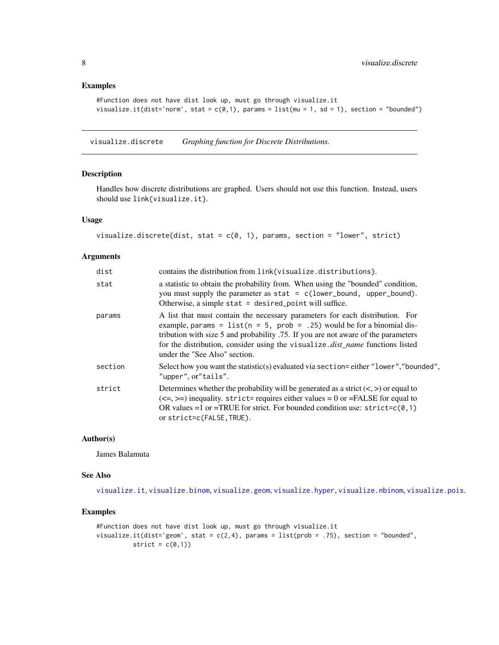# <span id="page-7-0"></span>Examples

```
#Function does not have dist look up, must go through visualize.it
visualize.it(dist='norm', stat = c(\emptyset,1), params = list(mu = 1, sd = 1), section = "bounded")
```
visualize.discrete *Graphing function for Discrete Distributions.*

### Description

Handles how discrete distributions are graphed. Users should not use this function. Instead, users should use link{visualize.it}.

# Usage

```
visualize.discrete(dist, stat = c(0, 1), params, section = "lower", strict)
```
#### Arguments

| dist    | contains the distribution from link{visualize.distributions}.                                                                                                                                                                                                                                                                                                           |
|---------|-------------------------------------------------------------------------------------------------------------------------------------------------------------------------------------------------------------------------------------------------------------------------------------------------------------------------------------------------------------------------|
| stat    | a statistic to obtain the probability from. When using the "bounded" condition,<br>you must supply the parameter as $stat = c(lower_bound, upper_bound).$<br>Otherwise, a simple stat $=$ desired_point will suffice.                                                                                                                                                   |
| params  | A list that must contain the necessary parameters for each distribution. For<br>example, params = $list(n = 5, prob = .25)$ would be for a binomial dis-<br>tribution with size 5 and probability .75. If you are not aware of the parameters<br>for the distribution, consider using the visualize. <i>dist_name</i> functions listed<br>under the "See Also" section. |
| section | Select how you want the statistic(s) evaluated via section=either "lower", "bounded",<br>"upper", or"tails".                                                                                                                                                                                                                                                            |
| strict  | Determines whether the probability will be generated as a strict $(<,>)$ or equal to<br>$(\leq=,)=$ inequality. strict= requires either values = 0 or = FALSE for equal to<br>OR values =1 or =TRUE for strict. For bounded condition use: $strict = c(0, 1)$<br>or strict=c(FALSE, TRUE).                                                                              |

# Author(s)

James Balamuta

# See Also

[visualize.it](#page-14-1), [visualize.binom](#page-3-1), [visualize.geom](#page-12-1), [visualize.hyper](#page-13-1), [visualize.nbinom](#page-18-1), [visualize.pois](#page-19-2).

```
#Function does not have dist look up, must go through visualize.it
visualize.it(dist='geom', stat = c(2,4), params = list(prob = .75), section = "bounded",
          strict = c(\emptyset,1))
```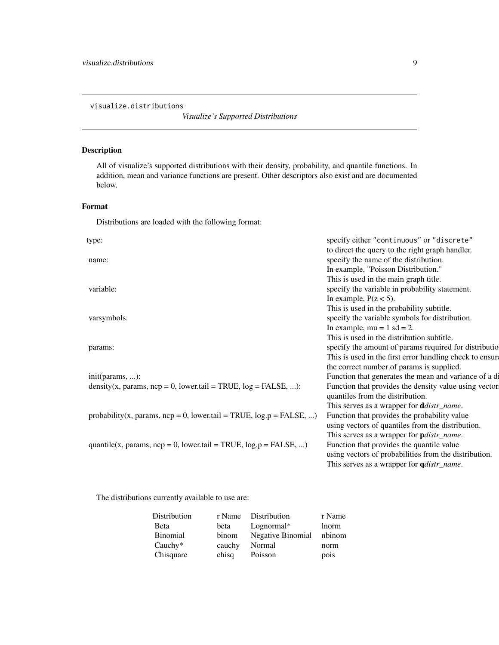<span id="page-8-0"></span>visualize.distributions

*Visualize's Supported Distributions*

# Description

All of visualize's supported distributions with their density, probability, and quantile functions. In addition, mean and variance functions are present. Other descriptors also exist and are documented below.

# Format

Distributions are loaded with the following format:

| type:                                                                     | specify either "continuous" or "discrete"                |
|---------------------------------------------------------------------------|----------------------------------------------------------|
|                                                                           | to direct the query to the right graph handler.          |
| name:                                                                     | specify the name of the distribution.                    |
|                                                                           | In example, "Poisson Distribution."                      |
|                                                                           | This is used in the main graph title.                    |
| variable:                                                                 | specify the variable in probability statement.           |
|                                                                           | In example, $P(z < 5)$ .                                 |
|                                                                           | This is used in the probability subtitle.                |
| varsymbols:                                                               | specify the variable symbols for distribution.           |
|                                                                           | In example, $mu = 1$ sd = 2.                             |
|                                                                           | This is used in the distribution subtitle.               |
| params:                                                                   | specify the amount of params required for distributio    |
|                                                                           | This is used in the first error handling check to ensure |
|                                                                           | the correct number of params is supplied.                |
| $init(params, \ldots)$ :                                                  | Function that generates the mean and variance of a di    |
| density(x, params, $ncp = 0$ , lower.tail = TRUE, $log = FALSE, $ ):      | Function that provides the density value using vector    |
|                                                                           | quantiles from the distribution.                         |
|                                                                           | This serves as a wrapper for <b>d</b> distr_name.        |
| probability(x, params, $ncp = 0$ , lower.tail = TRUE, $log.p = FALSE, $ ) | Function that provides the probability value             |
|                                                                           | using vectors of quantiles from the distribution.        |
|                                                                           | This serves as a wrapper for <i>pdistr_name</i> .        |
| quantile(x, params, $ncp = 0$ , lower.tail = TRUE, $log.p = FALSE, $ )    | Function that provides the quantile value                |
|                                                                           | using vectors of probabilities from the distribution.    |
|                                                                           | This serves as a wrapper for <i>qdistr_name</i> .        |
|                                                                           |                                                          |

The distributions currently available to use are:

| Distribution | r Name | Distribution      | r Name |
|--------------|--------|-------------------|--------|
| Beta         | beta   | $Lognormal*$      | lnorm  |
| Binomial     | binom  | Negative Binomial | nbinom |
| Cauchy $*$   | cauchy | Normal            | norm   |
| Chisquare    | chisq  | Poisson           | pois   |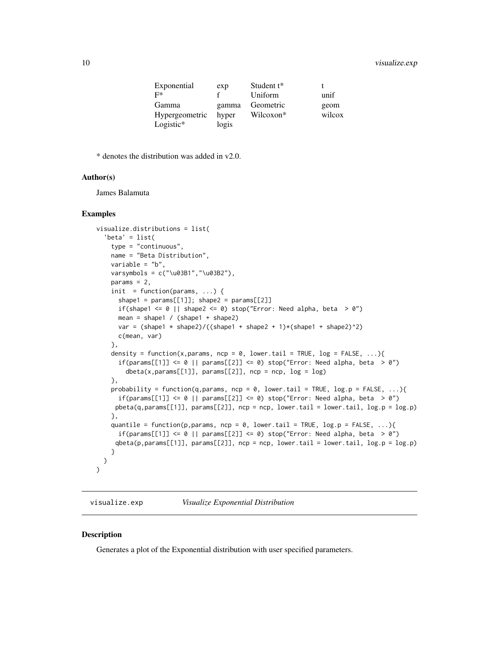# <span id="page-9-0"></span>10 visualize.exp

| Exponential           | exp   | Student $t^*$ |        |
|-----------------------|-------|---------------|--------|
| F*                    | £     | Uniform       | unif   |
| Gamma                 | gamma | Geometric     | geom   |
| <b>Hypergeometric</b> | hyper | Wilcoxon*     | wilcox |
| Logistic*             | logis |               |        |

\* denotes the distribution was added in v2.0.

#### Author(s)

James Balamuta

#### Examples

```
visualize.distributions = list(
  'beta' = list(
   type = "continuous",
   name = "Beta Distribution",
   variable = "b",varsymbols = c("\u03B1","\u03B2"),
   params = 2,
   init = function(params, ...) {
      shape1 = params[[1]]; shape2 = params[[2]]if(shape1 \leq 0 || shape2 \leq 0) stop("Error: Need alpha, beta > 0")
      mean = shape1 / (shape1 + shape2)
      var = (shape1 * shape2)/((shape1 + shape2 + 1)*(shape1 + shape2)^2)c(mean, var)
    },
    density = function(x,params, ncp = 0, lower.tail = TRUE, log = FALSE, ...){
      if(params[[1]] \leq 0 || params[[2]] \leq 0) stop("Error: Need alpha, beta > 0")
        \delta dbeta(x,params[[1]], params[[2]], ncp = ncp, log = log)
    },
   probability = function(q,params, ncp = 0, lower.tail = TRUE, log.p = FALSE, ...){if(params[[1]] \le 0 || params[[2]] \le 0) stop("Error: Need alpha, beta > 0")pbeta(q,params[[1]], params[[2]], np = np, lowertail = lower.tail, log.p = log.p)},
    quantile = function(p, params, ncp = 0, lower.tail = TRUE, log.p = FALSE, ...){
      if(params[[1]] <= \theta || params[[2]] <= \theta) stop("Error: Need alpha, beta > \theta")
     qbeta(p,params[[1]], params[[2]], ncp = ncp, lower.tail = lower.tail, log.p = log.p)
    }
 )
)
```
<span id="page-9-1"></span>visualize.exp *Visualize Exponential Distribution*

#### Description

Generates a plot of the Exponential distribution with user specified parameters.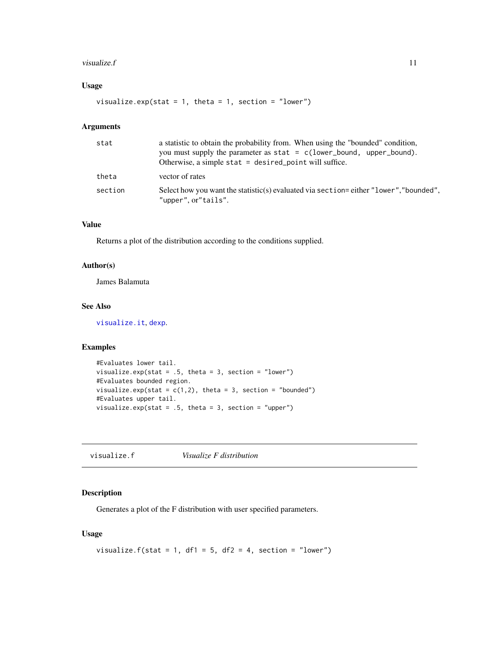#### <span id="page-10-0"></span>visualize.  $f$  11

# Usage

visualize.exp(stat = 1, theta = 1, section = "lower")

# Arguments

| stat    | a statistic to obtain the probability from. When using the "bounded" condition,<br>you must supply the parameter as $stat = c(lower_bound, upper_bound)$ .<br>Otherwise, a simple stat $=$ desired point will suffice. |
|---------|------------------------------------------------------------------------------------------------------------------------------------------------------------------------------------------------------------------------|
| theta   | vector of rates                                                                                                                                                                                                        |
| section | Select how you want the statistic(s) evaluated via section=either "lower", "bounded",<br>"upper", or"tails".                                                                                                           |

# Value

Returns a plot of the distribution according to the conditions supplied.

# Author(s)

James Balamuta

# See Also

[visualize.it](#page-14-1), [dexp](#page-0-0).

# Examples

```
#Evaluates lower tail.
visualize.exp(stat = .5, theta = 3, section = "lower")
#Evaluates bounded region.
visualize.exp(stat = c(1,2), theta = 3, section = "bounded")
#Evaluates upper tail.
visualize.exp(stat = .5, theta = 3, section = "upper")
```
<span id="page-10-1"></span>visualize.f *Visualize F distribution*

# Description

Generates a plot of the F distribution with user specified parameters.

```
visualize.f(stat = 1, df1 = 5, df2 = 4, section = "lower")
```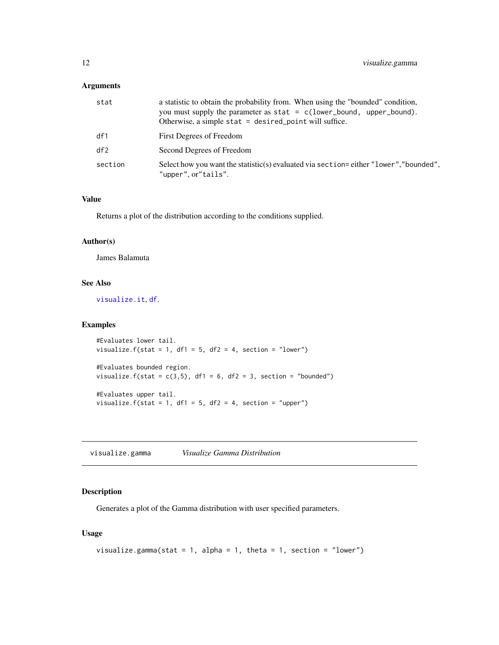# <span id="page-11-0"></span>Arguments

| stat    | a statistic to obtain the probability from. When using the "bounded" condition,<br>you must supply the parameter as $stat = c(lower_bound, upper_bound)$ .<br>Otherwise, a simple stat $=$ desired point will suffice. |
|---------|------------------------------------------------------------------------------------------------------------------------------------------------------------------------------------------------------------------------|
| df1     | First Degrees of Freedom                                                                                                                                                                                               |
| df2     | Second Degrees of Freedom                                                                                                                                                                                              |
| section | Select how you want the statistic(s) evaluated via section=either "lower", "bounded".<br>"upper", or"tails".                                                                                                           |

#### Value

Returns a plot of the distribution according to the conditions supplied.

# Author(s)

James Balamuta

# See Also

[visualize.it](#page-14-1), [df](#page-0-0).

### Examples

```
#Evaluates lower tail.
visualize.f(stat = 1, df1 = 5, df2 = 4, section = "lower")
#Evaluates bounded region.
visualize.f(stat = c(3,5), df1 = 6, df2 = 3, section = "bounded")
#Evaluates upper tail.
visualize.f(stat = 1, df1 = 5, df2 = 4, section = "upper")
```
<span id="page-11-1"></span>visualize.gamma *Visualize Gamma Distribution*

# Description

Generates a plot of the Gamma distribution with user specified parameters.

```
visualize.gamma(stat = 1, alpha = 1, theta = 1, section = "lower")
```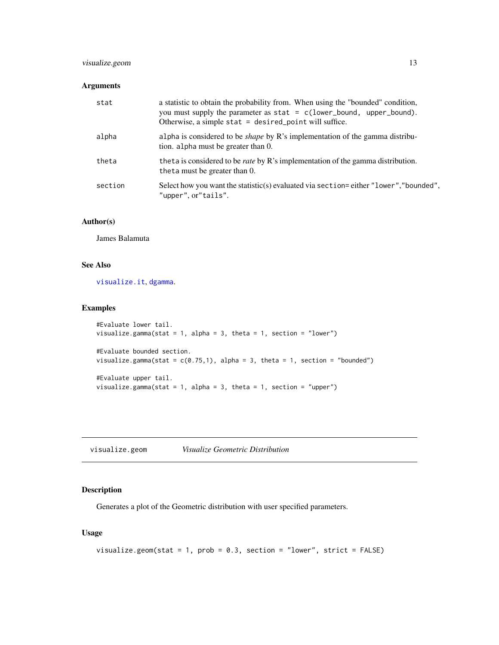# <span id="page-12-0"></span>visualize.geom 13

#### Arguments

| stat    | a statistic to obtain the probability from. When using the "bounded" condition,<br>you must supply the parameter as stat = $c(lower_bound, upper_bound).$<br>Otherwise, a simple stat = desired_point will suffice. |
|---------|---------------------------------------------------------------------------------------------------------------------------------------------------------------------------------------------------------------------|
| alpha   | alpha is considered to be <i>shape</i> by R's implementation of the gamma distribu-<br>tion. alpha must be greater than 0.                                                                                          |
| theta   | theta is considered to be <i>rate</i> by R's implementation of the gamma distribution.<br>theta must be greater than 0.                                                                                             |
| section | Select how you want the statistic(s) evaluated via section=either "lower", "bounded",<br>"upper", or"tails".                                                                                                        |

# Author(s)

James Balamuta

# See Also

[visualize.it](#page-14-1), [dgamma](#page-0-0).

# Examples

```
#Evaluate lower tail.
visualize.gamma(stat = 1, alpha = 3, theta = 1, section = "lower")
#Evaluate bounded section.
visualize.gamma(stat = c(0.75,1), alpha = 3, theta = 1, section = "bounded")
#Evaluate upper tail.
visualize.gamma(stat = 1, alpha = 3, theta = 1, section = "upper")
```
<span id="page-12-1"></span>visualize.geom *Visualize Geometric Distribution*

# Description

Generates a plot of the Geometric distribution with user specified parameters.

```
visualize.geom(stat = 1, prob = 0.3, section = "lower", strict = FALSE)
```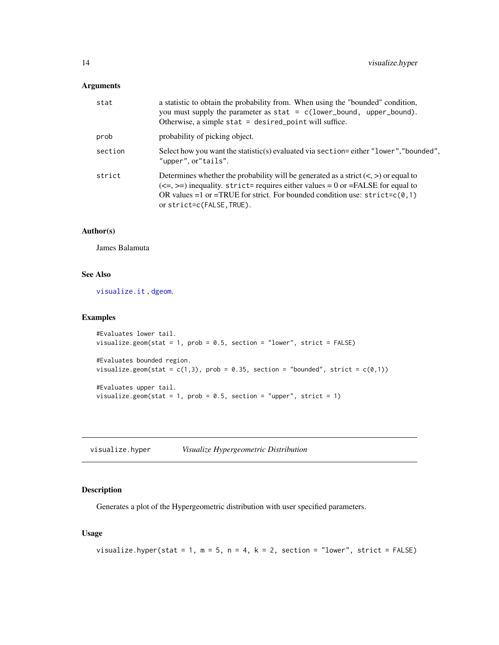# <span id="page-13-0"></span>Arguments

| stat    | a statistic to obtain the probability from. When using the "bounded" condition,<br>you must supply the parameter as stat = $c(lower_bound, upper_bound).$<br>Otherwise, a simple stat $=$ desired_point will suffice.                                                                   |
|---------|-----------------------------------------------------------------------------------------------------------------------------------------------------------------------------------------------------------------------------------------------------------------------------------------|
| prob    | probability of picking object.                                                                                                                                                                                                                                                          |
| section | Select how you want the statistic(s) evaluated via section=either "lower", "bounded",<br>"upper", or"tails".                                                                                                                                                                            |
| strict  | Determines whether the probability will be generated as a strict $(<,>)$ or equal to<br>$(\leq=,)=$ inequality. strict= requires either values = 0 or = FALSE for equal to<br>OR values =1 or =TRUE for strict. For bounded condition use: $strict=c(0,1)$<br>or strict=c(FALSE, TRUE). |

# Author(s)

James Balamuta

# See Also

[visualize.it](#page-14-1) , [dgeom](#page-0-0).

#### Examples

```
#Evaluates lower tail.
visualize.geom(stat = 1, prob = 0.5, section = "lower", strict = FALSE)
#Evaluates bounded region.
visualize.geom(stat = c(1,3), prob = 0.35, section = "bounded", strict = c(0,1))
#Evaluates upper tail.
visualize.geom(stat = 1, prob = 0.5, section = "upper", strict = 1)
```
<span id="page-13-1"></span>visualize.hyper *Visualize Hypergeometric Distribution*

# Description

Generates a plot of the Hypergeometric distribution with user specified parameters.

```
visualize.hyper(stat = 1, m = 5, n = 4, k = 2, section = "lower", strict = FALSE)
```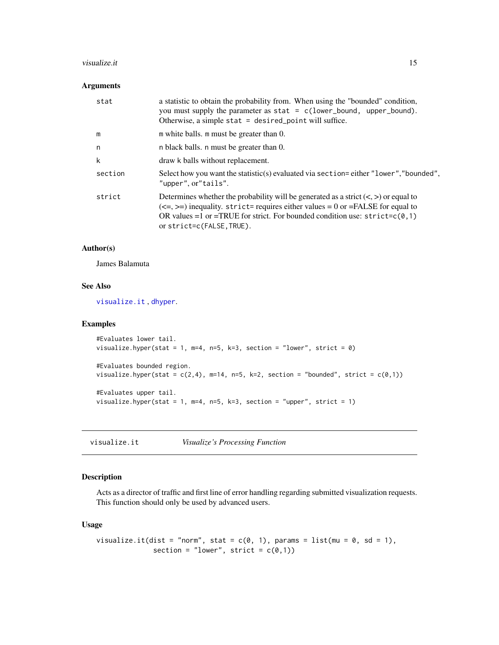#### <span id="page-14-0"></span>visualize.it 15

#### Arguments

| stat    | a statistic to obtain the probability from. When using the "bounded" condition,<br>you must supply the parameter as $stat = c(lower_bound, upper_bound).$<br>Otherwise, a simple stat $=$ desired_point will suffice.                                                                       |
|---------|---------------------------------------------------------------------------------------------------------------------------------------------------------------------------------------------------------------------------------------------------------------------------------------------|
| m       | m white balls. m must be greater than 0.                                                                                                                                                                                                                                                    |
| n       | n black balls. n must be greater than 0.                                                                                                                                                                                                                                                    |
| k       | draw k balls without replacement.                                                                                                                                                                                                                                                           |
| section | Select how you want the statistic(s) evaluated via section=either "lower", "bounded",<br>"upper", or"tails".                                                                                                                                                                                |
| strict  | Determines whether the probability will be generated as a strict $(<,>)$ or equal to<br>$(\leq=, \geq)$ inequality. strict= requires either values = 0 or = FALSE for equal to<br>OR values =1 or =TRUE for strict. For bounded condition use: $strict=c(0,1)$<br>or strict=c(FALSE, TRUE). |

# Author(s)

James Balamuta

# See Also

[visualize.it](#page-14-1) , [dhyper](#page-0-0).

#### Examples

```
#Evaluates lower tail.
visualize.hyper(stat = 1, m=4, n=5, k=3, section = "lower", strict = \theta)
#Evaluates bounded region.
visualize.hyper(stat = c(2,4), m=14, n=5, k=2, section = "bounded", strict = c(0,1))
#Evaluates upper tail.
visualize.hyper(stat = 1, m=4, n=5, k=3, section = "upper", strict = 1)
```
<span id="page-14-1"></span>visualize.it *Visualize's Processing Function*

# Description

Acts as a director of traffic and first line of error handling regarding submitted visualization requests. This function should only be used by advanced users.

```
visualize.it(dist = "norm", stat = c(0, 1), params = list(mu = 0, sd = 1),
              section = "lower", strict = c(0,1))
```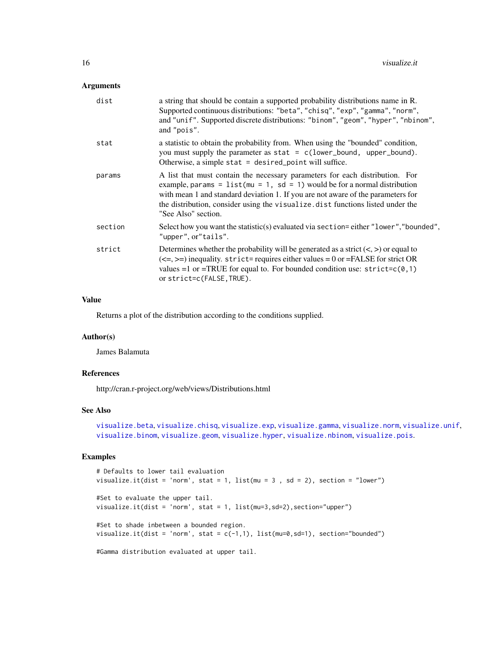#### <span id="page-15-0"></span>Arguments

| dist    | a string that should be contain a supported probability distributions name in R.<br>Supported continuous distributions: "beta", "chisq", "exp", "gamma", "norm",<br>and "unif". Supported discrete distributions: "binom", "geom", "hyper", "nbinom",<br>and "pois".                                                                                     |
|---------|----------------------------------------------------------------------------------------------------------------------------------------------------------------------------------------------------------------------------------------------------------------------------------------------------------------------------------------------------------|
| stat    | a statistic to obtain the probability from. When using the "bounded" condition,<br>you must supply the parameter as $stat = c(lower_bound, upper_bound).$<br>Otherwise, a simple stat = $desired\_point$ will suffice.                                                                                                                                   |
| params  | A list that must contain the necessary parameters for each distribution. For<br>example, params = $list(mu = 1, sd = 1)$ would be for a normal distribution<br>with mean 1 and standard deviation 1. If you are not aware of the parameters for<br>the distribution, consider using the visualize dist functions listed under the<br>"See Also" section. |
| section | Select how you want the statistic(s) evaluated via section=either "lower", "bounded",<br>"upper", or"tails".                                                                                                                                                                                                                                             |
| strict  | Determines whether the probability will be generated as a strict $(<,>)$ or equal to<br>$(\leq=,)=$ ) inequality. strict= requires either values = 0 or = FALSE for strict OR<br>values =1 or =TRUE for equal to. For bounded condition use: $strict=c(0,1)$<br>or strict=c(FALSE, TRUE).                                                                |

# Value

Returns a plot of the distribution according to the conditions supplied.

#### Author(s)

James Balamuta

#### References

http://cran.r-project.org/web/views/Distributions.html

# See Also

[visualize.beta](#page-2-1), [visualize.chisq](#page-5-1), [visualize.exp](#page-9-1), [visualize.gamma](#page-11-1), [visualize.norm](#page-19-1), [visualize.unif](#page-21-1), [visualize.binom](#page-3-1), [visualize.geom](#page-12-1), [visualize.hyper](#page-13-1), [visualize.nbinom](#page-18-1), [visualize.pois](#page-19-2).

```
# Defaults to lower tail evaluation
visualize.it(dist = 'norm', stat = 1, list(mu = 3 , sd = 2), section = "lower")
#Set to evaluate the upper tail.
visualize.it(dist = 'norm', stat = 1, list(mu=3,sd=2),section="upper")
#Set to shade inbetween a bounded region.
visualize.it(dist = 'norm', stat = c(-1,1), list(mu=0,sd=1), section="bounded")
#Gamma distribution evaluated at upper tail.
```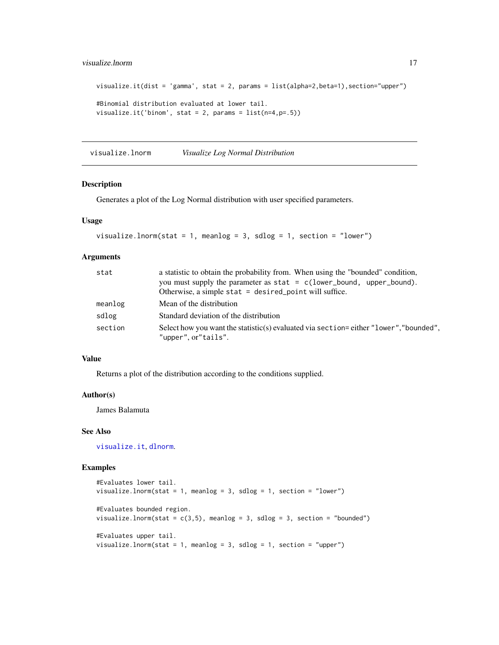# <span id="page-16-0"></span>visualize.lnorm 17

```
visualize.it(dist = 'gamma', stat = 2, params = list(alpha=2,beta=1),section='upper")#Binomial distribution evaluated at lower tail.
visualize.it('binom', stat = 2, params = list(n=4, p=.5))
```
<span id="page-16-1"></span>visualize.lnorm *Visualize Log Normal Distribution*

## Description

Generates a plot of the Log Normal distribution with user specified parameters.

#### Usage

```
visualize.lnorm(stat = 1, meanlog = 3, sdlog = 1, section = "lower")
```
#### Arguments

| stat    | a statistic to obtain the probability from. When using the "bounded" condition,                              |
|---------|--------------------------------------------------------------------------------------------------------------|
|         | you must supply the parameter as $stat = c(lower_bound, upper_bound)$ .                                      |
|         | Otherwise, a simple stat $=$ desired point will suffice.                                                     |
| meanlog | Mean of the distribution                                                                                     |
| sdlog   | Standard deviation of the distribution                                                                       |
| section | Select how you want the statistic(s) evaluated via section=either "lower", "bounded",<br>"upper", or"tails". |

# Value

Returns a plot of the distribution according to the conditions supplied.

#### Author(s)

James Balamuta

#### See Also

[visualize.it](#page-14-1), [dlnorm](#page-0-0).

```
#Evaluates lower tail.
visualize.lnorm(stat = 1, meanlog = 3, sdlog = 1, section = "lower")
#Evaluates bounded region.
visualize.lnorm(stat = c(3,5), meanlog = 3, sdlog = 3, section = "bounded")
#Evaluates upper tail.
visualize.lnorm(stat = 1, meanlog = 3, sdlog = 1, section = "upper")
```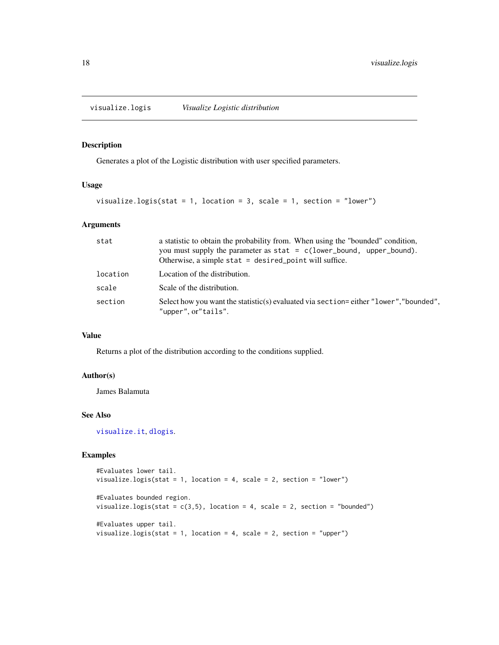<span id="page-17-1"></span><span id="page-17-0"></span>visualize.logis *Visualize Logistic distribution*

#### Description

Generates a plot of the Logistic distribution with user specified parameters.

#### Usage

```
visualize.logis(stat = 1, location = 3, scale = 1, section = "lower")
```
# Arguments

| stat     | a statistic to obtain the probability from. When using the "bounded" condition,<br>you must supply the parameter as $stat = c(lower_bound, upper_bound)$ .<br>Otherwise, a simple stat $=$ desired point will suffice. |
|----------|------------------------------------------------------------------------------------------------------------------------------------------------------------------------------------------------------------------------|
| location | Location of the distribution.                                                                                                                                                                                          |
| scale    | Scale of the distribution.                                                                                                                                                                                             |
| section  | Select how you want the statistic(s) evaluated via section=either "lower", "bounded".<br>"upper", or"tails".                                                                                                           |

#### Value

Returns a plot of the distribution according to the conditions supplied.

# Author(s)

James Balamuta

### See Also

[visualize.it](#page-14-1), [dlogis](#page-0-0).

```
#Evaluates lower tail.
visualize.logis(stat = 1, location = 4, scale = 2, section = "lower")
#Evaluates bounded region.
visualize.logis(stat = c(3,5), location = 4, scale = 2, section = "bounded")
#Evaluates upper tail.
visualize.logis(stat = 1, location = 4, scale = 2, section = "upper")
```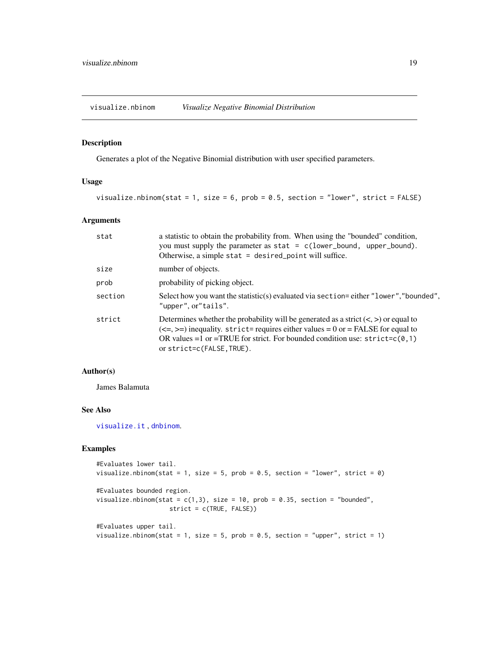<span id="page-18-1"></span><span id="page-18-0"></span>visualize.nbinom *Visualize Negative Binomial Distribution*

# Description

Generates a plot of the Negative Binomial distribution with user specified parameters.

# Usage

```
visualize.nbinom(stat = 1, size = 6, prob = 0.5, section = "lower", strict = FALSE)
```
# Arguments

| stat    | a statistic to obtain the probability from. When using the "bounded" condition,<br>you must supply the parameter as $stat = c(lower_bound, upper_bound).$<br>Otherwise, a simple stat = desired_point will suffice.                                                                     |
|---------|-----------------------------------------------------------------------------------------------------------------------------------------------------------------------------------------------------------------------------------------------------------------------------------------|
| size    | number of objects.                                                                                                                                                                                                                                                                      |
| prob    | probability of picking object.                                                                                                                                                                                                                                                          |
| section | Select how you want the statistic(s) evaluated via section=either "lower", "bounded",<br>"upper", or"tails".                                                                                                                                                                            |
| strict  | Determines whether the probability will be generated as a strict $(<,>)$ or equal to<br>$(\leq=,)=$ inequality. strict= requires either values = 0 or = FALSE for equal to<br>OR values =1 or =TRUE for strict. For bounded condition use: $strict=c(0,1)$<br>or strict=c(FALSE, TRUE). |

# Author(s)

James Balamuta

# See Also

[visualize.it](#page-14-1) , [dnbinom](#page-0-0).

```
#Evaluates lower tail.
visualize.nbinom(stat = 1, size = 5, prob = 0.5, section = "lower", strict = 0)
#Evaluates bounded region.
visualize.nbinom(stat = c(1,3), size = 10, prob = 0.35, section = "bounded",
                   strict = c(TRUE, FALSE))
#Evaluates upper tail.
visualize.nbinom(stat = 1, size = 5, prob = 0.5, section = "upper", strict = 1)
```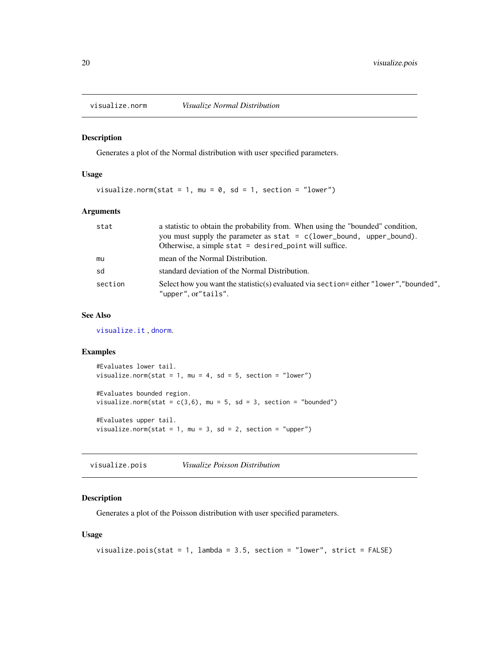<span id="page-19-1"></span><span id="page-19-0"></span>

#### Description

Generates a plot of the Normal distribution with user specified parameters.

# Usage

visualize.norm(stat = 1, mu = 0, sd = 1, section = "lower")

#### Arguments

| stat    | a statistic to obtain the probability from. When using the "bounded" condition,<br>you must supply the parameter as $stat = c(lower_bound, upper_bound)$ . |
|---------|------------------------------------------------------------------------------------------------------------------------------------------------------------|
|         | Otherwise, a simple stat $=$ desired point will suffice.                                                                                                   |
| mu      | mean of the Normal Distribution.                                                                                                                           |
| sd      | standard deviation of the Normal Distribution.                                                                                                             |
| section | Select how you want the statistic(s) evaluated via section=either "lower", "bounded",<br>"upper", or"tails".                                               |

# See Also

[visualize.it](#page-14-1) , [dnorm](#page-0-0).

#### Examples

```
#Evaluates lower tail.
visualize.norm(stat = 1, mu = 4, sd = 5, section = "lower")
#Evaluates bounded region.
visualize.norm(stat = c(3,6), mu = 5, sd = 3, section = "bounded")
#Evaluates upper tail.
visualize.norm(stat = 1, mu = 3, sd = 2, section = "upper")
```
<span id="page-19-2"></span>visualize.pois *Visualize Poisson Distribution*

#### Description

Generates a plot of the Poisson distribution with user specified parameters.

```
visualize.pois(stat = 1, lambda = 3.5, section = "lower", strict = FALSE)
```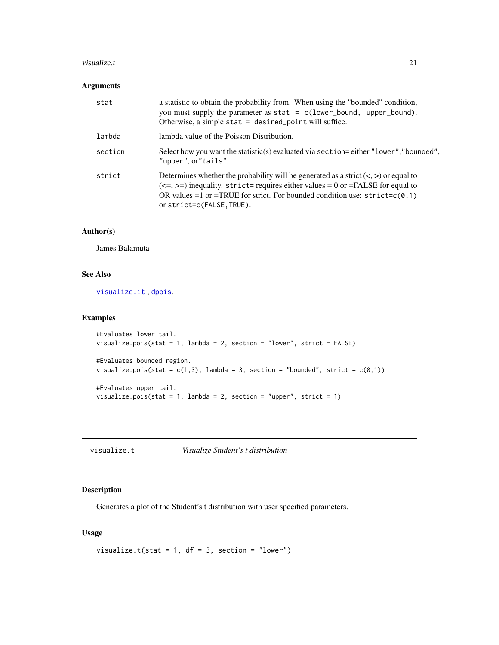#### <span id="page-20-0"></span>visualize.t 21

# Arguments

| stat    | a statistic to obtain the probability from. When using the "bounded" condition,<br>you must supply the parameter as $stat = c(lower_bound, upper_bound).$<br>Otherwise, a simple stat $=$ desired point will suffice.                                                                      |
|---------|--------------------------------------------------------------------------------------------------------------------------------------------------------------------------------------------------------------------------------------------------------------------------------------------|
| lambda  | lambda value of the Poisson Distribution.                                                                                                                                                                                                                                                  |
| section | Select how you want the statistic(s) evaluated via section=either "lower", "bounded",<br>"upper", or"tails".                                                                                                                                                                               |
| strict  | Determines whether the probability will be generated as a strict $(<,>)$ or equal to<br>$(\leq=, \geq)$ inequality. strict= requires either values = 0 or =FALSE for equal to<br>OR values =1 or =TRUE for strict. For bounded condition use: $strict=c(0,1)$<br>or strict=c(FALSE, TRUE). |

# Author(s)

James Balamuta

# See Also

[visualize.it](#page-14-1) , [dpois](#page-0-0).

#### Examples

```
#Evaluates lower tail.
visualize.pois(stat = 1, lambda = 2, section = "lower", strict = FALSE)
#Evaluates bounded region.
visualize.pois(stat = c(1,3), lambda = 3, section = "bounded", strict = c(\emptyset,1))
#Evaluates upper tail.
visualize.pois(stat = 1, lambda = 2, section = "upper", strict = 1)
```
<span id="page-20-1"></span>visualize.t *Visualize Student's t distribution*

# Description

Generates a plot of the Student's t distribution with user specified parameters.

```
visualize.t(stat = 1, df = 3, section = "lower")
```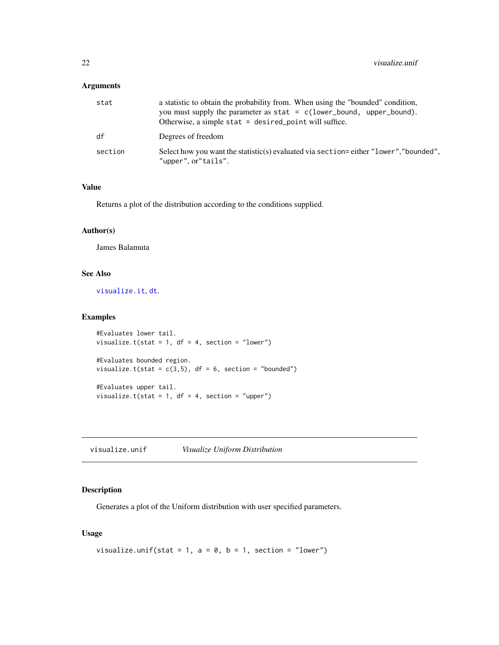# <span id="page-21-0"></span>Arguments

| stat    | a statistic to obtain the probability from. When using the "bounded" condition,<br>you must supply the parameter as $stat = c(lower_bound, upper_bound).$<br>Otherwise, a simple stat = desired_point will suffice. |
|---------|---------------------------------------------------------------------------------------------------------------------------------------------------------------------------------------------------------------------|
| df      | Degrees of freedom                                                                                                                                                                                                  |
| section | Select how you want the statistic(s) evaluated via section=either "lower", "bounded",<br>"upper", or"tails".                                                                                                        |

#### Value

Returns a plot of the distribution according to the conditions supplied.

#### Author(s)

James Balamuta

# See Also

[visualize.it](#page-14-1), [dt](#page-0-0).

# Examples

```
#Evaluates lower tail.
visualize.t(stat = 1, df = 4, section = "lower")
#Evaluates bounded region.
visualize.t(stat = c(3,5), df = 6, section = "bounded")
#Evaluates upper tail.
```
visualize.t(stat = 1,  $df = 4$ , section = "upper")

<span id="page-21-1"></span>visualize.unif *Visualize Uniform Distribution*

# Description

Generates a plot of the Uniform distribution with user specified parameters.

```
visualize.unif(stat = 1, a = 0, b = 1, section = "lower")
```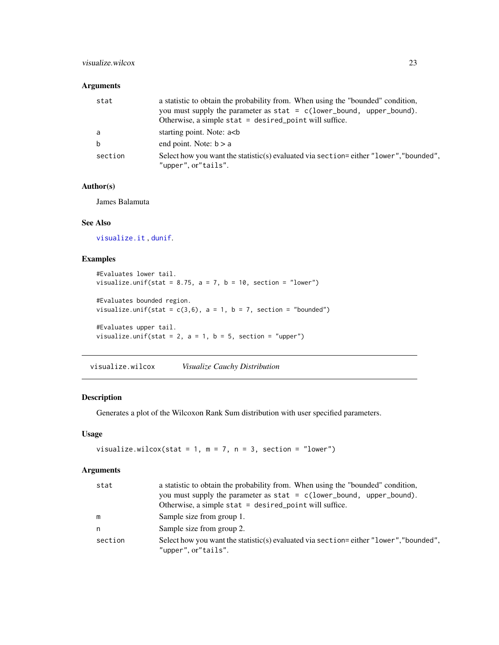# <span id="page-22-0"></span>visualize.wilcox 23

# Arguments

| stat    | a statistic to obtain the probability from. When using the "bounded" condition,<br>you must supply the parameter as $stat = c(lower_bound, upper_bound).$<br>Otherwise, a simple stat $=$ desired point will suffice. |
|---------|-----------------------------------------------------------------------------------------------------------------------------------------------------------------------------------------------------------------------|
| a       | starting point. Note: a<br>b                                                                                                                                                                                          |
| b       | end point. Note: $b > a$                                                                                                                                                                                              |
| section | Select how you want the statistic(s) evaluated via section=either "lower", "bounded",<br>"upper", or"tails".                                                                                                          |

#### Author(s)

James Balamuta

# See Also

[visualize.it](#page-14-1) , [dunif](#page-0-0).

# Examples

```
#Evaluates lower tail.
visualize.unif(stat = 8.75, a = 7, b = 10, section = "lower")
#Evaluates bounded region.
visualize.unif(stat = c(3,6), a = 1, b = 7, section = "bounded")
#Evaluates upper tail.
visualize.unif(stat = 2, a = 1, b = 5, section = "upper")
```
<span id="page-22-1"></span>visualize.wilcox *Visualize Cauchy Distribution*

#### Description

Generates a plot of the Wilcoxon Rank Sum distribution with user specified parameters.

# Usage

```
visualize.wilcox(stat = 1, m = 7, n = 3, section = "lower")
```
# Arguments

| stat    | a statistic to obtain the probability from. When using the "bounded" condition,<br>you must supply the parameter as $stat = c(lower_bound, upper_bound)$ .<br>Otherwise, a simple stat $=$ desired point will suffice. |
|---------|------------------------------------------------------------------------------------------------------------------------------------------------------------------------------------------------------------------------|
| m       | Sample size from group 1.                                                                                                                                                                                              |
| n       | Sample size from group 2.                                                                                                                                                                                              |
| section | Select how you want the statistic(s) evaluated via section=either "lower", "bounded",<br>"upper", or"tails".                                                                                                           |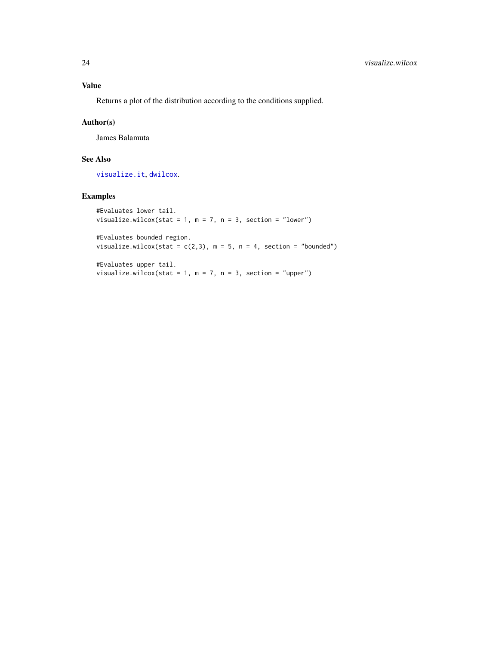# <span id="page-23-0"></span>Value

Returns a plot of the distribution according to the conditions supplied.

# Author(s)

James Balamuta

# See Also

[visualize.it](#page-14-1), [dwilcox](#page-0-0).

# Examples

```
#Evaluates lower tail.
visualize.wilcox(stat = 1, m = 7, n = 3, section = "lower")
```
#Evaluates bounded region. visualize.wilcox(stat =  $c(2,3)$ , m = 5, n = 4, section = "bounded")

#Evaluates upper tail. visualize.wilcox(stat = 1,  $m = 7$ ,  $n = 3$ , section = "upper")